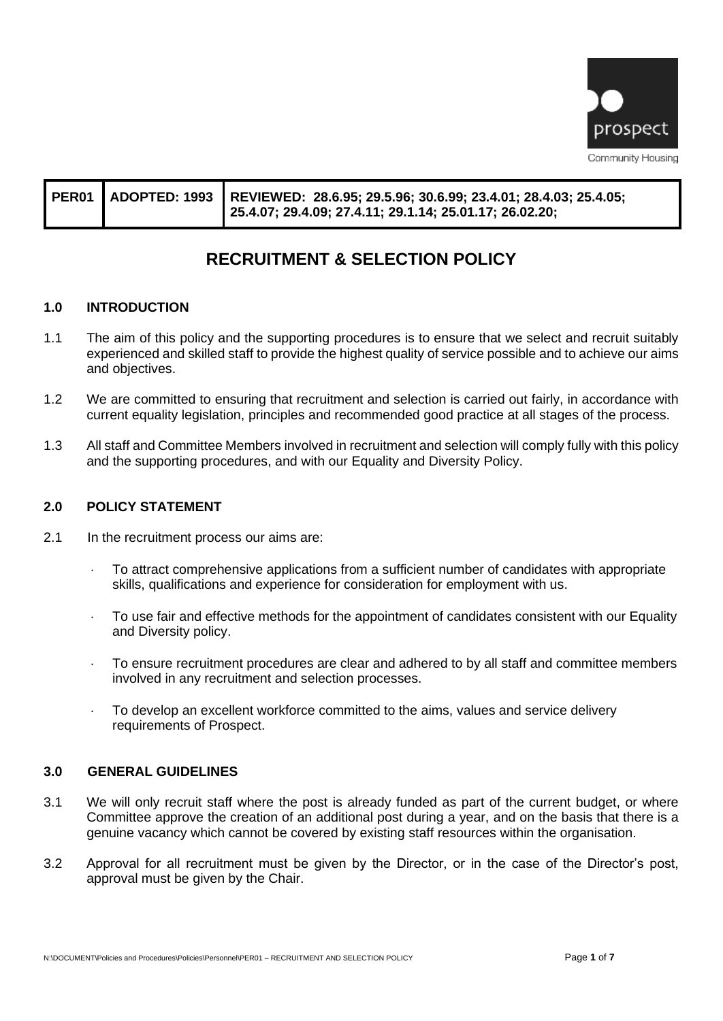

|  |  | PER01 ADOPTED: 1993 REVIEWED: 28.6.95; 29.5.96; 30.6.99; 23.4.01; 28.4.03; 25.4.05;<br>25.4.07; 29.4.09; 27.4.11; 29.1.14; 25.01.17; 26.02.20; |
|--|--|------------------------------------------------------------------------------------------------------------------------------------------------|
|--|--|------------------------------------------------------------------------------------------------------------------------------------------------|

# **RECRUITMENT & SELECTION POLICY**

#### **1.0 INTRODUCTION**

- 1.1 The aim of this policy and the supporting procedures is to ensure that we select and recruit suitably experienced and skilled staff to provide the highest quality of service possible and to achieve our aims and objectives.
- 1.2 We are committed to ensuring that recruitment and selection is carried out fairly, in accordance with current equality legislation, principles and recommended good practice at all stages of the process.
- 1.3 All staff and Committee Members involved in recruitment and selection will comply fully with this policy and the supporting procedures, and with our Equality and Diversity Policy.

#### **2.0 POLICY STATEMENT**

- 2.1 In the recruitment process our aims are:
	- To attract comprehensive applications from a sufficient number of candidates with appropriate skills, qualifications and experience for consideration for employment with us.
	- To use fair and effective methods for the appointment of candidates consistent with our Equality and Diversity policy.
	- To ensure recruitment procedures are clear and adhered to by all staff and committee members involved in any recruitment and selection processes.
	- To develop an excellent workforce committed to the aims, values and service delivery requirements of Prospect.

#### **3.0 GENERAL GUIDELINES**

- 3.1 We will only recruit staff where the post is already funded as part of the current budget, or where Committee approve the creation of an additional post during a year, and on the basis that there is a genuine vacancy which cannot be covered by existing staff resources within the organisation.
- 3.2 Approval for all recruitment must be given by the Director, or in the case of the Director's post, approval must be given by the Chair.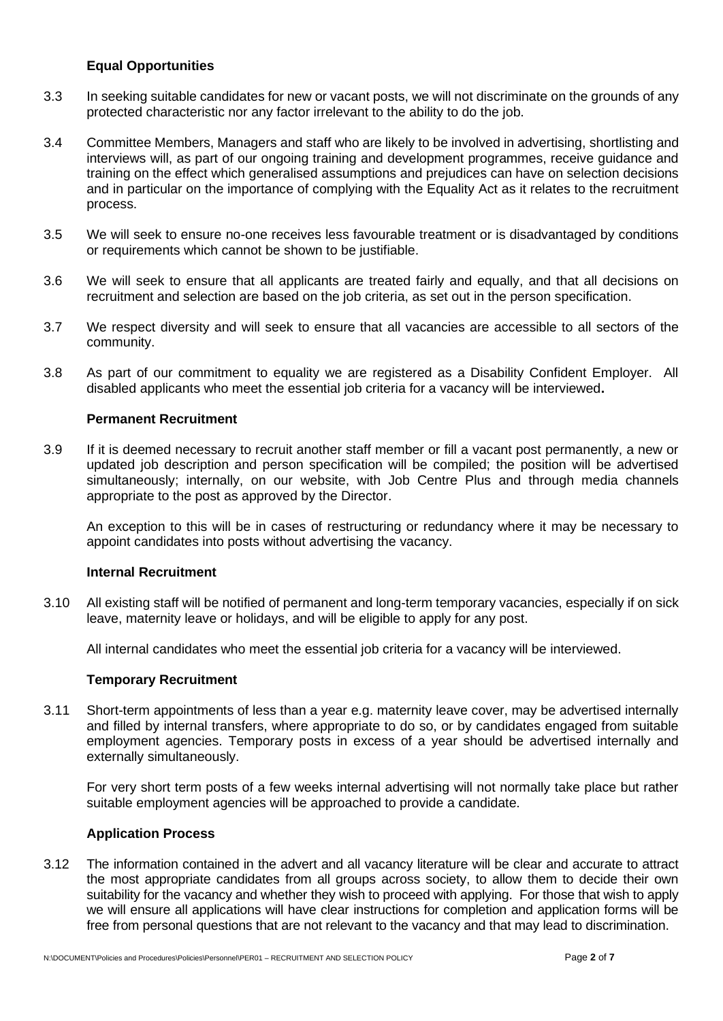### **Equal Opportunities**

- 3.3 In seeking suitable candidates for new or vacant posts, we will not discriminate on the grounds of any protected characteristic nor any factor irrelevant to the ability to do the job.
- 3.4 Committee Members, Managers and staff who are likely to be involved in advertising, shortlisting and interviews will, as part of our ongoing training and development programmes, receive guidance and training on the effect which generalised assumptions and prejudices can have on selection decisions and in particular on the importance of complying with the Equality Act as it relates to the recruitment process.
- 3.5 We will seek to ensure no-one receives less favourable treatment or is disadvantaged by conditions or requirements which cannot be shown to be justifiable.
- 3.6 We will seek to ensure that all applicants are treated fairly and equally, and that all decisions on recruitment and selection are based on the job criteria, as set out in the person specification.
- 3.7 We respect diversity and will seek to ensure that all vacancies are accessible to all sectors of the community.
- 3.8 As part of our commitment to equality we are registered as a Disability Confident Employer. All disabled applicants who meet the essential job criteria for a vacancy will be interviewed**.**

#### **Permanent Recruitment**

3.9 If it is deemed necessary to recruit another staff member or fill a vacant post permanently, a new or updated job description and person specification will be compiled; the position will be advertised simultaneously; internally, on our website, with Job Centre Plus and through media channels appropriate to the post as approved by the Director.

An exception to this will be in cases of restructuring or redundancy where it may be necessary to appoint candidates into posts without advertising the vacancy.

#### **Internal Recruitment**

3.10 All existing staff will be notified of permanent and long-term temporary vacancies, especially if on sick leave, maternity leave or holidays, and will be eligible to apply for any post.

All internal candidates who meet the essential job criteria for a vacancy will be interviewed.

#### **Temporary Recruitment**

3.11 Short-term appointments of less than a year e.g. maternity leave cover, may be advertised internally and filled by internal transfers, where appropriate to do so, or by candidates engaged from suitable employment agencies. Temporary posts in excess of a year should be advertised internally and externally simultaneously.

For very short term posts of a few weeks internal advertising will not normally take place but rather suitable employment agencies will be approached to provide a candidate.

#### **Application Process**

3.12 The information contained in the advert and all vacancy literature will be clear and accurate to attract the most appropriate candidates from all groups across society, to allow them to decide their own suitability for the vacancy and whether they wish to proceed with applying. For those that wish to apply we will ensure all applications will have clear instructions for completion and application forms will be free from personal questions that are not relevant to the vacancy and that may lead to discrimination.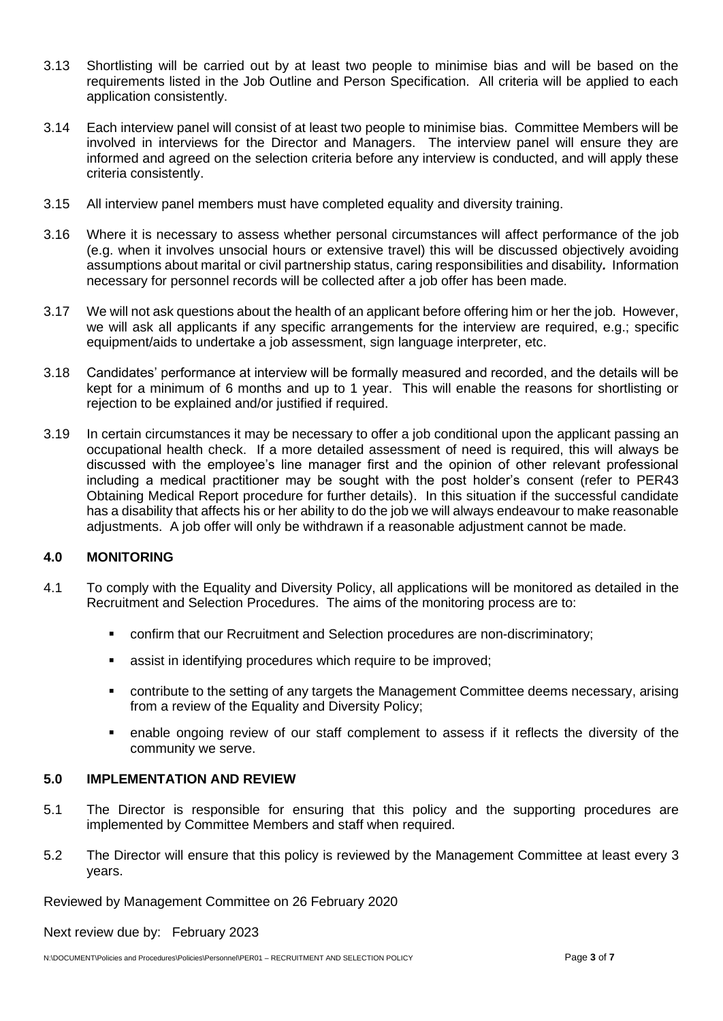- 3.13 Shortlisting will be carried out by at least two people to minimise bias and will be based on the requirements listed in the Job Outline and Person Specification. All criteria will be applied to each application consistently.
- 3.14 Each interview panel will consist of at least two people to minimise bias. Committee Members will be involved in interviews for the Director and Managers. The interview panel will ensure they are informed and agreed on the selection criteria before any interview is conducted, and will apply these criteria consistently.
- 3.15 All interview panel members must have completed equality and diversity training.
- 3.16 Where it is necessary to assess whether personal circumstances will affect performance of the job (e.g. when it involves unsocial hours or extensive travel) this will be discussed objectively avoiding assumptions about marital or civil partnership status, caring responsibilities and disability*.* Information necessary for personnel records will be collected after a job offer has been made.
- 3.17 We will not ask questions about the health of an applicant before offering him or her the job. However, we will ask all applicants if any specific arrangements for the interview are required, e.g.; specific equipment/aids to undertake a job assessment, sign language interpreter, etc.
- 3.18 Candidates' performance at interview will be formally measured and recorded, and the details will be kept for a minimum of 6 months and up to 1 year. This will enable the reasons for shortlisting or rejection to be explained and/or justified if required.
- 3.19 In certain circumstances it may be necessary to offer a job conditional upon the applicant passing an occupational health check. If a more detailed assessment of need is required, this will always be discussed with the employee's line manager first and the opinion of other relevant professional including a medical practitioner may be sought with the post holder's consent (refer to PER43 Obtaining Medical Report procedure for further details). In this situation if the successful candidate has a disability that affects his or her ability to do the job we will always endeavour to make reasonable adjustments. A job offer will only be withdrawn if a reasonable adjustment cannot be made.

### **4.0 MONITORING**

- 4.1 To comply with the Equality and Diversity Policy, all applications will be monitored as detailed in the Recruitment and Selection Procedures. The aims of the monitoring process are to:
	- confirm that our Recruitment and Selection procedures are non-discriminatory;
	- **EXECT:** assist in identifying procedures which require to be improved;
	- contribute to the setting of any targets the Management Committee deems necessary, arising from a review of the Equality and Diversity Policy;
	- enable ongoing review of our staff complement to assess if it reflects the diversity of the community we serve.

#### **5.0 IMPLEMENTATION AND REVIEW**

- 5.1 The Director is responsible for ensuring that this policy and the supporting procedures are implemented by Committee Members and staff when required.
- 5.2 The Director will ensure that this policy is reviewed by the Management Committee at least every 3 years.

Reviewed by Management Committee on 26 February 2020

Next review due by: February 2023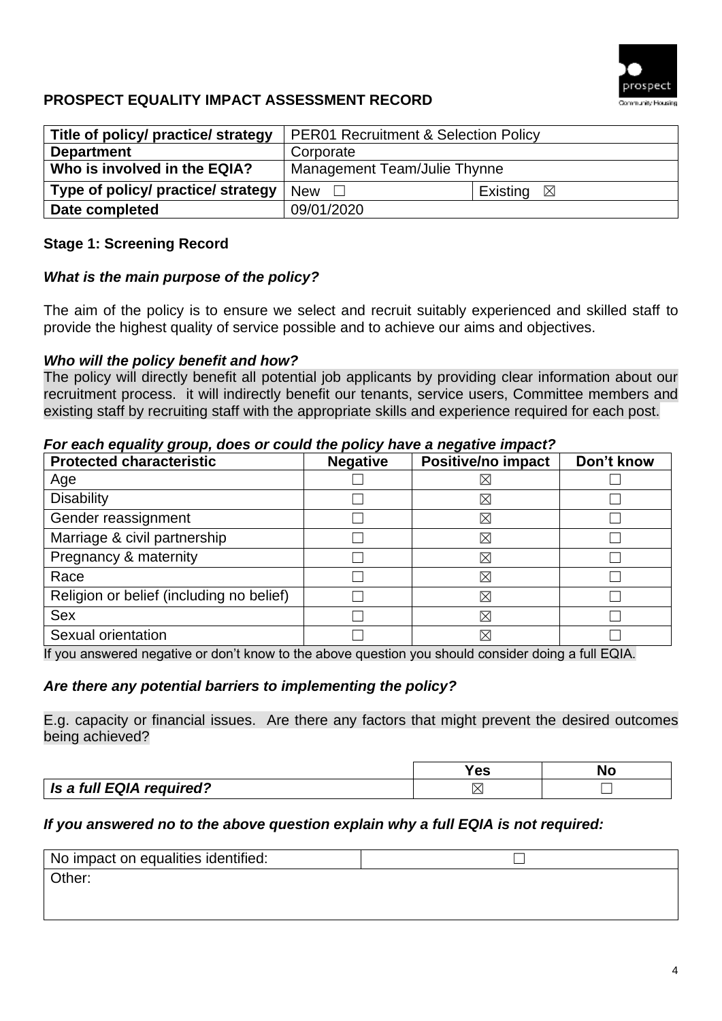

## **PROSPECT EQUALITY IMPACT ASSESSMENT RECORD**

| Title of policy/ practice/ strategy | <b>PER01 Recruitment &amp; Selection Policy</b> |                      |  |
|-------------------------------------|-------------------------------------------------|----------------------|--|
| <b>Department</b>                   | Corporate                                       |                      |  |
| Who is involved in the EQIA?        | Management Team/Julie Thynne                    |                      |  |
| Type of policy/ practice/ strategy  | <b>New</b>                                      | Existing $\boxtimes$ |  |
| Date completed                      | 09/01/2020                                      |                      |  |

## **Stage 1: Screening Record**

### *What is the main purpose of the policy?*

The aim of the policy is to ensure we select and recruit suitably experienced and skilled staff to provide the highest quality of service possible and to achieve our aims and objectives.

### *Who will the policy benefit and how?*

The policy will directly benefit all potential job applicants by providing clear information about our recruitment process. it will indirectly benefit our tenants, service users, Committee members and existing staff by recruiting staff with the appropriate skills and experience required for each post.

### *For each equality group, does or could the policy have a negative impact?*

| <b>Protected characteristic</b>          | <b>Negative</b> | Positive/no impact | Don't know |
|------------------------------------------|-----------------|--------------------|------------|
| Age                                      |                 | $\boxtimes$        |            |
| <b>Disability</b>                        |                 | $\boxtimes$        |            |
| Gender reassignment                      |                 | $\boxtimes$        |            |
| Marriage & civil partnership             |                 | $\boxtimes$        |            |
| Pregnancy & maternity                    |                 | $\boxtimes$        |            |
| Race                                     |                 | $\boxtimes$        |            |
| Religion or belief (including no belief) |                 | $\boxtimes$        |            |
| <b>Sex</b>                               |                 | $\boxtimes$        |            |
| Sexual orientation                       |                 | $\boxtimes$        |            |

If you answered negative or don't know to the above question you should consider doing a full EQIA.

### *Are there any potential barriers to implementing the policy?*

E.g. capacity or financial issues. Are there any factors that might prevent the desired outcomes being achieved?

|                                 | 'es | NO |
|---------------------------------|-----|----|
| <b>Is a full EQIA required?</b> |     |    |

### *If you answered no to the above question explain why a full EQIA is not required:*

| No impact on equalities identified: |  |
|-------------------------------------|--|
| Other:                              |  |
|                                     |  |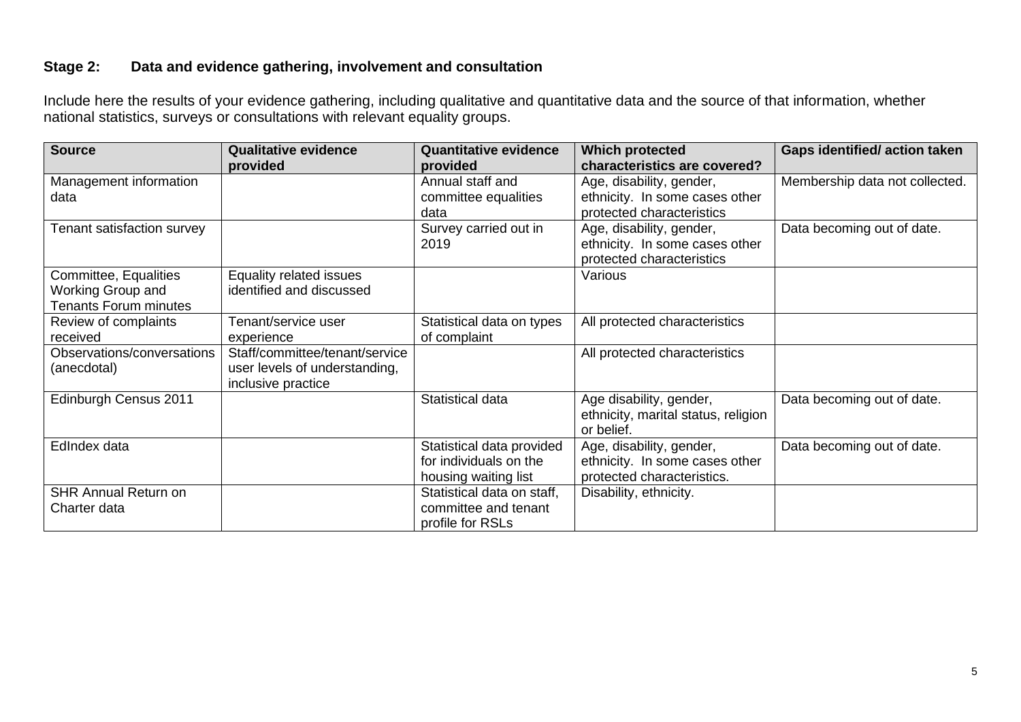## **Stage 2: Data and evidence gathering, involvement and consultation**

Include here the results of your evidence gathering, including qualitative and quantitative data and the source of that information, whether national statistics, surveys or consultations with relevant equality groups.

| <b>Source</b>                | <b>Qualitative evidence</b>    | <b>Quantitative evidence</b> | <b>Which protected</b>              | <b>Gaps identified/action taken</b> |
|------------------------------|--------------------------------|------------------------------|-------------------------------------|-------------------------------------|
|                              | provided                       | provided                     | characteristics are covered?        |                                     |
| Management information       |                                | Annual staff and             | Age, disability, gender,            | Membership data not collected.      |
| data                         |                                | committee equalities         | ethnicity. In some cases other      |                                     |
|                              |                                | data                         | protected characteristics           |                                     |
| Tenant satisfaction survey   |                                | Survey carried out in        | Age, disability, gender,            | Data becoming out of date.          |
|                              |                                | 2019                         | ethnicity. In some cases other      |                                     |
|                              |                                |                              | protected characteristics           |                                     |
| Committee, Equalities        | Equality related issues        |                              | Various                             |                                     |
| Working Group and            | identified and discussed       |                              |                                     |                                     |
| <b>Tenants Forum minutes</b> |                                |                              |                                     |                                     |
| Review of complaints         | Tenant/service user            | Statistical data on types    | All protected characteristics       |                                     |
| received                     | experience                     | of complaint                 |                                     |                                     |
| Observations/conversations   | Staff/committee/tenant/service |                              | All protected characteristics       |                                     |
| (anecdotal)                  | user levels of understanding,  |                              |                                     |                                     |
|                              | inclusive practice             |                              |                                     |                                     |
| Edinburgh Census 2011        |                                | Statistical data             | Age disability, gender,             | Data becoming out of date.          |
|                              |                                |                              | ethnicity, marital status, religion |                                     |
|                              |                                |                              | or belief.                          |                                     |
| EdIndex data                 |                                | Statistical data provided    | Age, disability, gender,            | Data becoming out of date.          |
|                              |                                | for individuals on the       | ethnicity. In some cases other      |                                     |
|                              |                                | housing waiting list         | protected characteristics.          |                                     |
| <b>SHR Annual Return on</b>  |                                | Statistical data on staff,   | Disability, ethnicity.              |                                     |
| Charter data                 |                                | committee and tenant         |                                     |                                     |
|                              |                                | profile for RSLs             |                                     |                                     |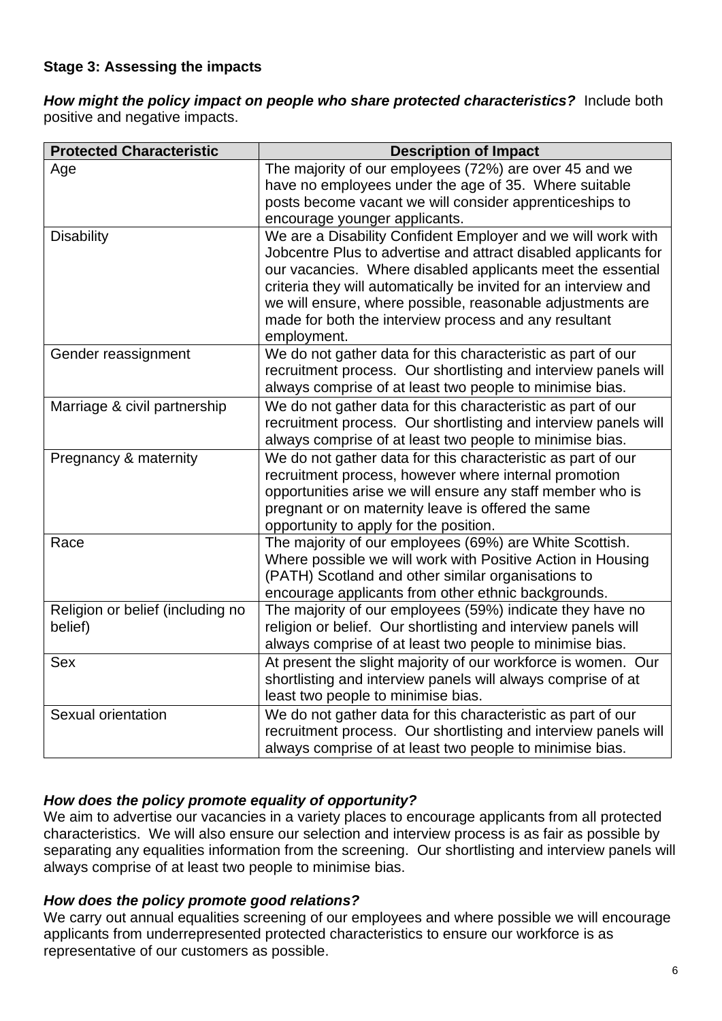## **Stage 3: Assessing the impacts**

*How might the policy impact on people who share protected characteristics?*Include both positive and negative impacts.

| <b>Protected Characteristic</b>  | <b>Description of Impact</b>                                                                                                    |
|----------------------------------|---------------------------------------------------------------------------------------------------------------------------------|
| Age                              | The majority of our employees (72%) are over 45 and we                                                                          |
|                                  | have no employees under the age of 35. Where suitable                                                                           |
|                                  | posts become vacant we will consider apprenticeships to                                                                         |
|                                  | encourage younger applicants.                                                                                                   |
| <b>Disability</b>                | We are a Disability Confident Employer and we will work with                                                                    |
|                                  | Jobcentre Plus to advertise and attract disabled applicants for                                                                 |
|                                  | our vacancies. Where disabled applicants meet the essential                                                                     |
|                                  | criteria they will automatically be invited for an interview and                                                                |
|                                  | we will ensure, where possible, reasonable adjustments are                                                                      |
|                                  | made for both the interview process and any resultant                                                                           |
|                                  | employment.                                                                                                                     |
| Gender reassignment              | We do not gather data for this characteristic as part of our<br>recruitment process. Our shortlisting and interview panels will |
|                                  | always comprise of at least two people to minimise bias.                                                                        |
| Marriage & civil partnership     | We do not gather data for this characteristic as part of our                                                                    |
|                                  | recruitment process. Our shortlisting and interview panels will                                                                 |
|                                  | always comprise of at least two people to minimise bias.                                                                        |
| Pregnancy & maternity            | We do not gather data for this characteristic as part of our                                                                    |
|                                  | recruitment process, however where internal promotion                                                                           |
|                                  | opportunities arise we will ensure any staff member who is                                                                      |
|                                  | pregnant or on maternity leave is offered the same                                                                              |
|                                  | opportunity to apply for the position.                                                                                          |
| Race                             | The majority of our employees (69%) are White Scottish.                                                                         |
|                                  | Where possible we will work with Positive Action in Housing                                                                     |
|                                  | (PATH) Scotland and other similar organisations to                                                                              |
|                                  | encourage applicants from other ethnic backgrounds.                                                                             |
| Religion or belief (including no | The majority of our employees (59%) indicate they have no                                                                       |
| belief)                          | religion or belief. Our shortlisting and interview panels will                                                                  |
|                                  | always comprise of at least two people to minimise bias.                                                                        |
| Sex                              | At present the slight majority of our workforce is women. Our                                                                   |
|                                  | shortlisting and interview panels will always comprise of at                                                                    |
|                                  | least two people to minimise bias.                                                                                              |
| Sexual orientation               | We do not gather data for this characteristic as part of our                                                                    |
|                                  | recruitment process. Our shortlisting and interview panels will                                                                 |
|                                  | always comprise of at least two people to minimise bias.                                                                        |

## *How does the policy promote equality of opportunity?*

We aim to advertise our vacancies in a variety places to encourage applicants from all protected characteristics. We will also ensure our selection and interview process is as fair as possible by separating any equalities information from the screening. Our shortlisting and interview panels will always comprise of at least two people to minimise bias.

### *How does the policy promote good relations?*

We carry out annual equalities screening of our employees and where possible we will encourage applicants from underrepresented protected characteristics to ensure our workforce is as representative of our customers as possible.